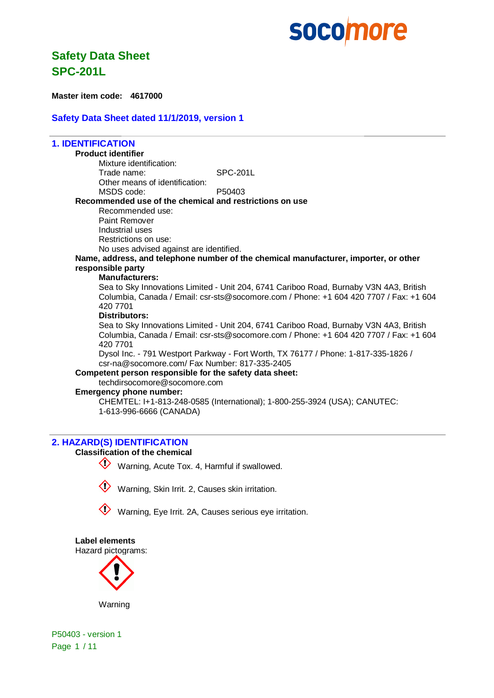### **Safety Data Sheet SPC-201L**

**Master item code: 4617000**

#### **Safety Data Sheet dated 11/1/2019, version 1**

#### **1. IDENTIFICATION Product identifier** Mixture identification: Trade name: SPC-201L Other means of identification: MSDS code: P50403 **Recommended use of the chemical and restrictions on use** Recommended use: Paint Remover Industrial uses Restrictions on use: No uses advised against are identified. **Name, address, and telephone number of the chemical manufacturer, importer, or other responsible party Manufacturers:** Sea to Sky Innovations Limited - Unit 204, 6741 Cariboo Road, Burnaby V3N 4A3, British Columbia, Canada / Email: csr-sts@socomore.com / Phone: +1 604 420 7707 / Fax: +1 604 420 7701 **Distributors:** Sea to Sky Innovations Limited - Unit 204, 6741 Cariboo Road, Burnaby V3N 4A3, British Columbia, Canada / Email: csr-sts@socomore.com / Phone: +1 604 420 7707 / Fax: +1 604 420 7701 Dysol Inc. - 791 Westport Parkway - Fort Worth, TX 76177 / Phone: 1-817-335-1826 / csr-na@socomore.com/ Fax Number: 817-335-2405 **Competent person responsible for the safety data sheet:** techdirsocomore@socomore.com

#### **Emergency phone number:**

CHEMTEL: I+1-813-248-0585 (International); 1-800-255-3924 (USA); CANUTEC: 1-613-996-6666 (CANADA)

#### **2. HAZARD(S) IDENTIFICATION**

#### **Classification of the chemical**



Warning, Acute Tox. 4, Harmful if swallowed.





**Label elements** Hazard pictograms:



Warning

P50403 - version 1 Page 1 / 11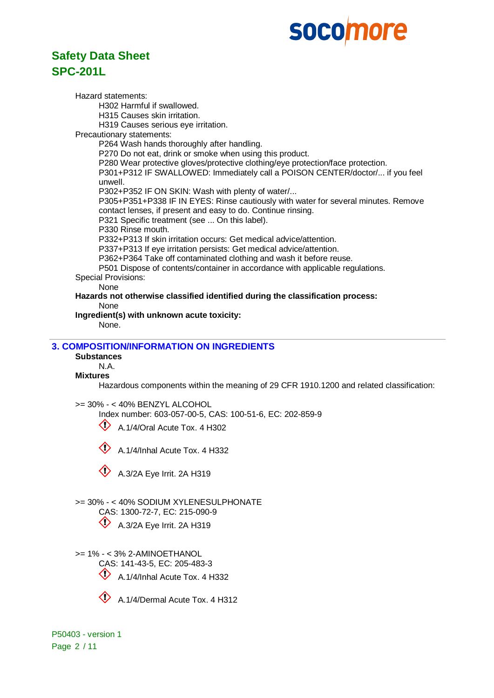### **Safety Data Sheet SPC-201L**

Hazard statements: H302 Harmful if swallowed. H315 Causes skin irritation. H319 Causes serious eye irritation. Precautionary statements: P264 Wash hands thoroughly after handling. P270 Do not eat, drink or smoke when using this product. P280 Wear protective gloves/protective clothing/eye protection/face protection. P301+P312 IF SWALLOWED: Immediately call a POISON CENTER/doctor/... if you feel unwell. P302+P352 IF ON SKIN: Wash with plenty of water/... P305+P351+P338 IF IN EYES: Rinse cautiously with water for several minutes. Remove contact lenses, if present and easy to do. Continue rinsing. P321 Specific treatment (see ... On this label). P330 Rinse mouth. P332+P313 If skin irritation occurs: Get medical advice/attention. P337+P313 If eye irritation persists: Get medical advice/attention. P362+P364 Take off contaminated clothing and wash it before reuse. P501 Dispose of contents/container in accordance with applicable regulations. Special Provisions: None **Hazards not otherwise classified identified during the classification process:** None **Ingredient(s) with unknown acute toxicity:** None. **3. COMPOSITION/INFORMATION ON INGREDIENTS Substances** N.A. **Mixtures** Hazardous components within the meaning of 29 CFR 1910.1200 and related classification:

>= 30% - < 40% BENZYL ALCOHOL

Index number: 603-057-00-5, CAS: 100-51-6, EC: 202-859-9

 $\bigotimes$  A.1/4/Oral Acute Tox. 4 H302

A.1/4/Inhal Acute Tox. 4 H332



A.3/2A Eye Irrit. 2A H319

>= 30% - < 40% SODIUM XYLENESULPHONATE

CAS: 1300-72-7, EC: 215-090-9

 $\bigcirc$  A.3/2A Eye Irrit. 2A H319

>= 1% - < 3% 2-AMINOETHANOL

CAS: 141-43-5, EC: 205-483-3

 $\bigcirc$  A.1/4/Inhal Acute Tox. 4 H332



A.1/4/Dermal Acute Tox. 4 H312

P50403 - version 1 Page 2 / 11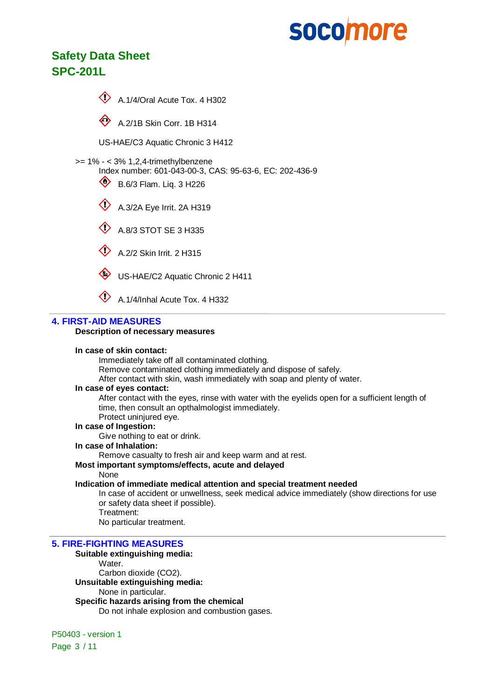## **Safety Data Sheet SPC-201L**



 $\otimes$  A.2/1B Skin Corr. 1B H314

US-HAE/C3 Aquatic Chronic 3 H412

- >= 1% < 3% 1,2,4-trimethylbenzene
	- Index number: 601-043-00-3, CAS: 95-63-6, EC: 202-436-9
	- $\bullet$  B.6/3 Flam. Lig. 3 H226
	- A.3/2A Eye Irrit. 2A H319
	- $\textcircled{4}$  A.8/3 STOT SE 3 H335
	- $\bigotimes$  A.2/2 Skin Irrit. 2 H315
	- US-HAE/C2 Aquatic Chronic 2 H411
	- A.1/4/Inhal Acute Tox. 4 H332

#### **4. FIRST-AID MEASURES**

#### **Description of necessary measures**

#### **In case of skin contact:**

Immediately take off all contaminated clothing.

Remove contaminated clothing immediately and dispose of safely.

After contact with skin, wash immediately with soap and plenty of water.

#### **In case of eyes contact:**

After contact with the eyes, rinse with water with the eyelids open for a sufficient length of time, then consult an opthalmologist immediately.

### Protect uninjured eye.

**In case of Ingestion:**

Give nothing to eat or drink.

**In case of Inhalation:**

Remove casualty to fresh air and keep warm and at rest.

#### **Most important symptoms/effects, acute and delayed**

#### None

#### **Indication of immediate medical attention and special treatment needed**

In case of accident or unwellness, seek medical advice immediately (show directions for use or safety data sheet if possible). Treatment:

No particular treatment.

#### **5. FIRE-FIGHTING MEASURES**

#### **Suitable extinguishing media:**

Water.

Carbon dioxide (CO2).

**Unsuitable extinguishing media:**

None in particular.

**Specific hazards arising from the chemical**

Do not inhale explosion and combustion gases.

P50403 - version 1 Page 3 / 11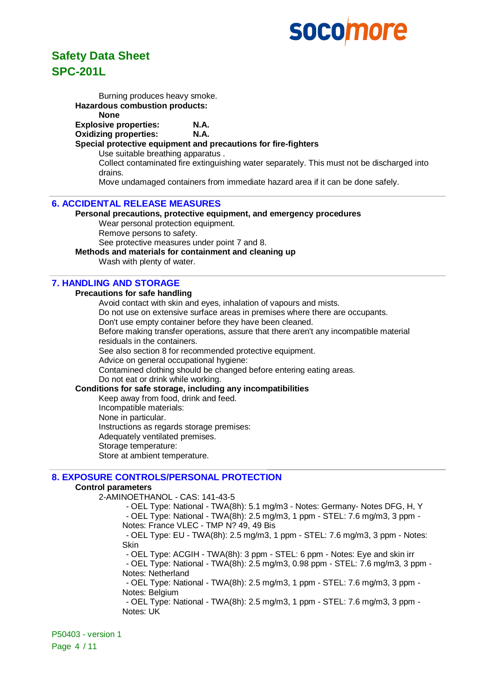## **Safety Data Sheet SPC-201L**

Burning produces heavy smoke. **Hazardous combustion products: None Explosive properties: N.A. Oxidizing properties: N.A. Special protective equipment and precautions for fire-fighters** Use suitable breathing apparatus . Collect contaminated fire extinguishing water separately. This must not be discharged into drains. Move undamaged containers from immediate hazard area if it can be done safely.

#### **6. ACCIDENTAL RELEASE MEASURES**

**Personal precautions, protective equipment, and emergency procedures** Wear personal protection equipment. Remove persons to safety. See protective measures under point 7 and 8.

#### **Methods and materials for containment and cleaning up**

Wash with plenty of water.

#### **7. HANDLING AND STORAGE**

#### **Precautions for safe handling**

Avoid contact with skin and eyes, inhalation of vapours and mists.

Do not use on extensive surface areas in premises where there are occupants.

Don't use empty container before they have been cleaned.

Before making transfer operations, assure that there aren't any incompatible material residuals in the containers.

See also section 8 for recommended protective equipment.

Advice on general occupational hygiene:

Contamined clothing should be changed before entering eating areas.

Do not eat or drink while working.

#### **Conditions for safe storage, including any incompatibilities**

Keep away from food, drink and feed.

Incompatible materials:

None in particular.

Instructions as regards storage premises:

Adequately ventilated premises.

Storage temperature:

Store at ambient temperature.

#### **8. EXPOSURE CONTROLS/PERSONAL PROTECTION**

#### **Control parameters**

2-AMINOETHANOL - CAS: 141-43-5

- OEL Type: National - TWA(8h): 5.1 mg/m3 - Notes: Germany- Notes DFG, H, Y

- OEL Type: National - TWA(8h): 2.5 mg/m3, 1 ppm - STEL: 7.6 mg/m3, 3 ppm - Notes: France VLEC - TMP N? 49, 49 Bis

- OEL Type: EU - TWA(8h): 2.5 mg/m3, 1 ppm - STEL: 7.6 mg/m3, 3 ppm - Notes: Skin

- OEL Type: ACGIH - TWA(8h): 3 ppm - STEL: 6 ppm - Notes: Eye and skin irr

- OEL Type: National - TWA(8h): 2.5 mg/m3, 0.98 ppm - STEL: 7.6 mg/m3, 3 ppm - Notes: Netherland

- OEL Type: National - TWA(8h): 2.5 mg/m3, 1 ppm - STEL: 7.6 mg/m3, 3 ppm - Notes: Belgium

- OEL Type: National - TWA(8h): 2.5 mg/m3, 1 ppm - STEL: 7.6 mg/m3, 3 ppm - Notes: UK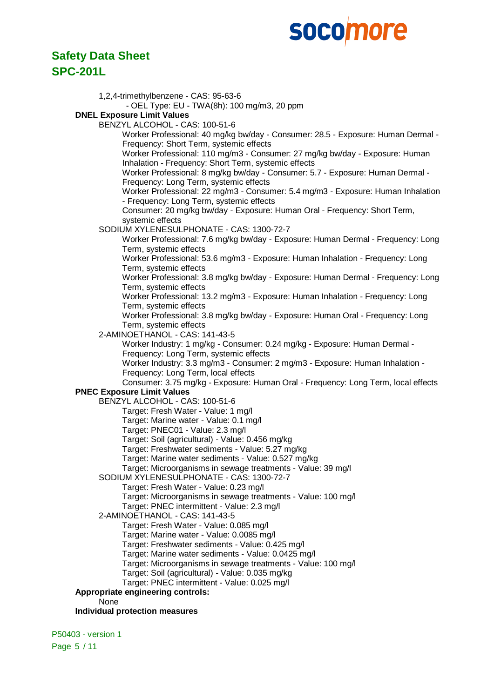### **Safety Data Sheet SPC-201L**

| 1,2,4-trimethylbenzene - CAS: 95-63-6                                                                                        |
|------------------------------------------------------------------------------------------------------------------------------|
| - OEL Type: EU - TWA(8h): 100 mg/m3, 20 ppm                                                                                  |
| <b>DNEL Exposure Limit Values</b>                                                                                            |
| BENZYL ALCOHOL - CAS: 100-51-6                                                                                               |
| Worker Professional: 40 mg/kg bw/day - Consumer: 28.5 - Exposure: Human Dermal -                                             |
| Frequency: Short Term, systemic effects                                                                                      |
| Worker Professional: 110 mg/m3 - Consumer: 27 mg/kg bw/day - Exposure: Human                                                 |
| Inhalation - Frequency: Short Term, systemic effects                                                                         |
| Worker Professional: 8 mg/kg bw/day - Consumer: 5.7 - Exposure: Human Dermal -                                               |
| Frequency: Long Term, systemic effects                                                                                       |
| Worker Professional: 22 mg/m3 - Consumer: 5.4 mg/m3 - Exposure: Human Inhalation<br>- Frequency: Long Term, systemic effects |
| Consumer: 20 mg/kg bw/day - Exposure: Human Oral - Frequency: Short Term,                                                    |
| systemic effects                                                                                                             |
| SODIUM XYLENESULPHONATE - CAS: 1300-72-7                                                                                     |
| Worker Professional: 7.6 mg/kg bw/day - Exposure: Human Dermal - Frequency: Long                                             |
| Term, systemic effects                                                                                                       |
| Worker Professional: 53.6 mg/m3 - Exposure: Human Inhalation - Frequency: Long                                               |
| Term, systemic effects                                                                                                       |
| Worker Professional: 3.8 mg/kg bw/day - Exposure: Human Dermal - Frequency: Long                                             |
| Term, systemic effects                                                                                                       |
| Worker Professional: 13.2 mg/m3 - Exposure: Human Inhalation - Frequency: Long                                               |
| Term, systemic effects                                                                                                       |
| Worker Professional: 3.8 mg/kg bw/day - Exposure: Human Oral - Frequency: Long                                               |
| Term, systemic effects<br>2-AMINOETHANOL - CAS: 141-43-5                                                                     |
| Worker Industry: 1 mg/kg - Consumer: 0.24 mg/kg - Exposure: Human Dermal -                                                   |
| Frequency: Long Term, systemic effects                                                                                       |
| Worker Industry: 3.3 mg/m3 - Consumer: 2 mg/m3 - Exposure: Human Inhalation -                                                |
| Frequency: Long Term, local effects                                                                                          |
| Consumer: 3.75 mg/kg - Exposure: Human Oral - Frequency: Long Term, local effects                                            |
| <b>PNEC Exposure Limit Values</b>                                                                                            |
| BENZYL ALCOHOL - CAS: 100-51-6                                                                                               |
| Target: Fresh Water - Value: 1 mg/l                                                                                          |
| Target: Marine water - Value: 0.1 mg/l                                                                                       |
| Target: PNEC01 - Value: 2.3 mg/l                                                                                             |
| Target: Soil (agricultural) - Value: 0.456 mg/kg<br>Target: Freshwater sediments - Value: 5.27 mg/kg                         |
| Target: Marine water sediments - Value: 0.527 mg/kg                                                                          |
| Target: Microorganisms in sewage treatments - Value: 39 mg/l                                                                 |
| SODIUM XYLENESULPHONATE - CAS: 1300-72-7                                                                                     |
| Target: Fresh Water - Value: 0.23 mg/l                                                                                       |
| Target: Microorganisms in sewage treatments - Value: 100 mg/l                                                                |
| Target: PNEC intermittent - Value: 2.3 mg/l                                                                                  |
| 2-AMINOETHANOL - CAS: 141-43-5                                                                                               |
| Target: Fresh Water - Value: 0.085 mg/l                                                                                      |
| Target: Marine water - Value: 0.0085 mg/l                                                                                    |
| Target: Freshwater sediments - Value: 0.425 mg/l                                                                             |
| Target: Marine water sediments - Value: 0.0425 mg/l<br>Target: Microorganisms in sewage treatments - Value: 100 mg/l         |
| Target: Soil (agricultural) - Value: 0.035 mg/kg                                                                             |
| Target: PNEC intermittent - Value: 0.025 mg/l                                                                                |
| Appropriate engineering controls:                                                                                            |
| None                                                                                                                         |
| <b>Individual protection measures</b>                                                                                        |
|                                                                                                                              |

P50403 - version 1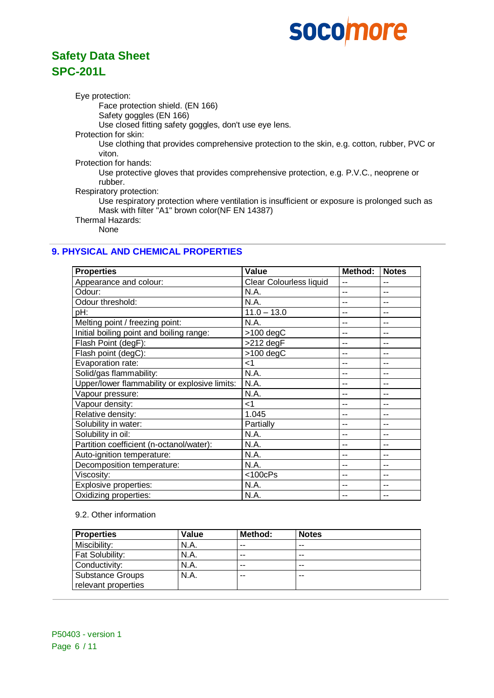## **Safety Data Sheet SPC-201L**

Eye protection:

Face protection shield. (EN 166)

Safety goggles (EN 166)

Use closed fitting safety goggles, don't use eye lens.

Protection for skin:

Use clothing that provides comprehensive protection to the skin, e.g. cotton, rubber, PVC or viton.

Protection for hands:

Use protective gloves that provides comprehensive protection, e.g. P.V.C., neoprene or rubber.

Respiratory protection:

Use respiratory protection where ventilation is insufficient or exposure is prolonged such as Mask with filter "A1" brown color(NF EN 14387)

Thermal Hazards: None

#### **9. PHYSICAL AND CHEMICAL PROPERTIES**

| <b>Properties</b>                             | Value                   | Method: | <b>Notes</b> |
|-----------------------------------------------|-------------------------|---------|--------------|
| Appearance and colour:                        | Clear Colourless liquid | --      | $-$          |
| Odour:                                        | N.A.                    | --      | $-$          |
| Odour threshold:                              | N.A.                    | --      |              |
| pH:                                           | $11.0 - 13.0$           | --      | --           |
| Melting point / freezing point:               | N.A.                    | --      | --           |
| Initial boiling point and boiling range:      | $>100$ degC             | --      | --           |
| Flash Point (degF):                           | >212 degF               | --      | --           |
| Flash point (degC):                           | $>100$ degC             | --      | --           |
| Evaporation rate:                             | $<$ 1                   | --      | --           |
| Solid/gas flammability:                       | N.A.                    | --      | --           |
| Upper/lower flammability or explosive limits: | N.A.                    | --      |              |
| Vapour pressure:                              | N.A.                    | --      | --           |
| Vapour density:                               | $<$ 1                   | --      | --           |
| Relative density:                             | 1.045                   | --      | --           |
| Solubility in water:                          | Partially               | --      | --           |
| Solubility in oil:                            | N.A.                    | --      | --           |
| Partition coefficient (n-octanol/water):      | N.A.                    | --      | --           |
| Auto-ignition temperature:                    | N.A.                    | --      | $-$          |
| Decomposition temperature:                    | N.A.                    | --      | --           |
| Viscosity:                                    | $<$ 100 $c$ Ps          | --      |              |
| Explosive properties:                         | N.A.                    | --      | --           |
| Oxidizing properties:                         | N.A.                    | --      | --           |

#### 9.2. Other information

| <b>Properties</b>       | Value | Method: | <b>Notes</b> |
|-------------------------|-------|---------|--------------|
| Miscibility:            | N.A.  | $- -$   | $- -$        |
| Fat Solubility:         | N.A.  | $- -$   | $- -$        |
| Conductivity:           | N.A.  | $- -$   | $- -$        |
| <b>Substance Groups</b> | N.A.  | $- -$   | $- -$        |
| relevant properties     |       |         |              |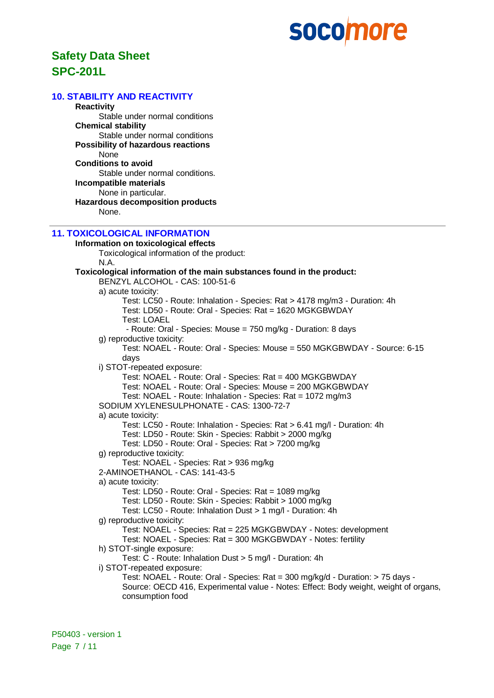## **Safety Data Sheet SPC-201L**

#### **10. STABILITY AND REACTIVITY**

**Reactivity** Stable under normal conditions **Chemical stability** Stable under normal conditions **Possibility of hazardous reactions** None **Conditions to avoid** Stable under normal conditions. **Incompatible materials** None in particular. **Hazardous decomposition products** None.

#### **11. TOXICOLOGICAL INFORMATION**

**Information on toxicological effects** Toxicological information of the product: N.A. **Toxicological information of the main substances found in the product:** BENZYL ALCOHOL - CAS: 100-51-6 a) acute toxicity: Test: LC50 - Route: Inhalation - Species: Rat > 4178 mg/m3 - Duration: 4h Test: LD50 - Route: Oral - Species: Rat = 1620 MGKGBWDAY Test: LOAEL - Route: Oral - Species: Mouse = 750 mg/kg - Duration: 8 days g) reproductive toxicity: Test: NOAEL - Route: Oral - Species: Mouse = 550 MGKGBWDAY - Source: 6-15 days i) STOT-repeated exposure: Test: NOAEL - Route: Oral - Species: Rat = 400 MGKGBWDAY Test: NOAEL - Route: Oral - Species: Mouse = 200 MGKGBWDAY Test: NOAEL - Route: Inhalation - Species: Rat = 1072 mg/m3 SODIUM XYLENESULPHONATE - CAS: 1300-72-7 a) acute toxicity: Test: LC50 - Route: Inhalation - Species: Rat > 6.41 mg/l - Duration: 4h Test: LD50 - Route: Skin - Species: Rabbit > 2000 mg/kg Test: LD50 - Route: Oral - Species: Rat > 7200 mg/kg g) reproductive toxicity: Test: NOAEL - Species: Rat > 936 mg/kg 2-AMINOETHANOL - CAS: 141-43-5 a) acute toxicity: Test: LD50 - Route: Oral - Species: Rat = 1089 mg/kg Test: LD50 - Route: Skin - Species: Rabbit > 1000 mg/kg Test: LC50 - Route: Inhalation Dust > 1 mg/l - Duration: 4h g) reproductive toxicity: Test: NOAEL - Species: Rat = 225 MGKGBWDAY - Notes: development Test: NOAEL - Species: Rat = 300 MGKGBWDAY - Notes: fertility h) STOT-single exposure: Test: C - Route: Inhalation Dust > 5 mg/l - Duration: 4h i) STOT-repeated exposure: Test: NOAEL - Route: Oral - Species: Rat = 300 mg/kg/d - Duration: > 75 days - Source: OECD 416, Experimental value - Notes: Effect: Body weight, weight of organs, consumption food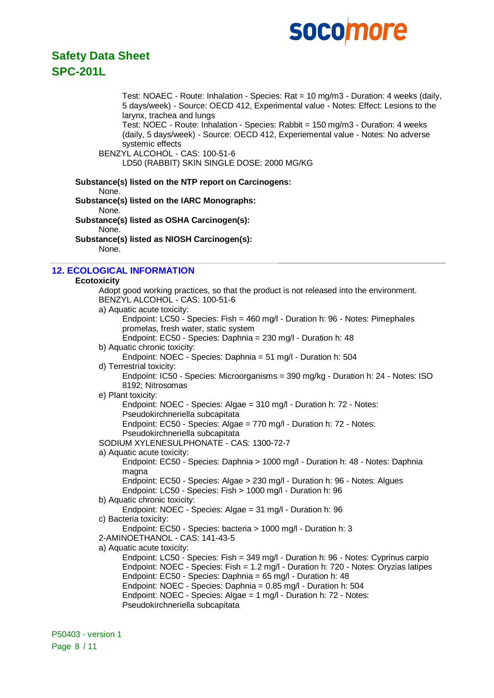

### **Safety Data Sheet SPC-201L**

Test: NOAEC - Route: Inhalation - Species: Rat = 10 mg/m3 - Duration: 4 weeks (daily, 5 days/week) - Source: OECD 412, Experimental value - Notes: Effect: Lesions to the larynx, trachea and lungs

Test: NOEC - Route: Inhalation - Species: Rabbit = 150 mg/m3 - Duration: 4 weeks (daily, 5 days/week) - Source: OECD 412, Experiemental value - Notes: No adverse systemic effects

BENZYL ALCOHOL - CAS: 100-51-6 LD50 (RABBIT) SKIN SINGLE DOSE: 2000 MG/KG

|       | Substance(s) listed on the NTP report on Carcinogens: |
|-------|-------------------------------------------------------|
| None. |                                                       |
|       | Substance(s) listed on the IARC Monographs:           |
| None. |                                                       |
|       | Substance(s) listed as OSHA Carcinogen(s):            |
| None. |                                                       |

**Substance(s) listed as NIOSH Carcinogen(s):** None.

#### **12. ECOLOGICAL INFORMATION**

#### **Ecotoxicity**

Adopt good working practices, so that the product is not released into the environment. BENZYL ALCOHOL - CAS: 100-51-6 a) Aquatic acute toxicity: Endpoint: LC50 - Species: Fish = 460 mg/l - Duration h: 96 - Notes: Pimephales promelas, fresh water, static system Endpoint: EC50 - Species: Daphnia = 230 mg/l - Duration h: 48 b) Aquatic chronic toxicity: Endpoint: NOEC - Species: Daphnia = 51 mg/l - Duration h: 504 d) Terrestrial toxicity: Endpoint: IC50 - Species: Microorganisms = 390 mg/kg - Duration h: 24 - Notes: ISO 8192; Nitrosomas e) Plant toxicity: Endpoint: NOEC - Species: Algae = 310 mg/l - Duration h: 72 - Notes: Pseudokirchneriella subcapitata Endpoint: EC50 - Species: Algae = 770 mg/l - Duration h: 72 - Notes: Pseudokirchneriella subcapitata SODIUM XYLENESULPHONATE - CAS: 1300-72-7 a) Aquatic acute toxicity: Endpoint: EC50 - Species: Daphnia > 1000 mg/l - Duration h: 48 - Notes: Daphnia magna Endpoint: EC50 - Species: Algae > 230 mg/l - Duration h: 96 - Notes: Algues Endpoint: LC50 - Species: Fish > 1000 mg/l - Duration h: 96 b) Aquatic chronic toxicity: Endpoint: NOEC - Species: Algae = 31 mg/l - Duration h: 96 c) Bacteria toxicity: Endpoint: EC50 - Species: bacteria > 1000 mg/l - Duration h: 3 2-AMINOETHANOL - CAS: 141-43-5 a) Aquatic acute toxicity: Endpoint: LC50 - Species: Fish = 349 mg/l - Duration h: 96 - Notes: Cyprinus carpio Endpoint: NOEC - Species: Fish = 1.2 mg/l - Duration h: 720 - Notes: Oryzias latipes Endpoint: EC50 - Species: Daphnia = 65 mg/l - Duration h: 48 Endpoint: NOEC - Species: Daphnia = 0.85 mg/l - Duration h: 504 Endpoint: NOEC - Species: Algae = 1 mg/l - Duration h: 72 - Notes: Pseudokirchneriella subcapitata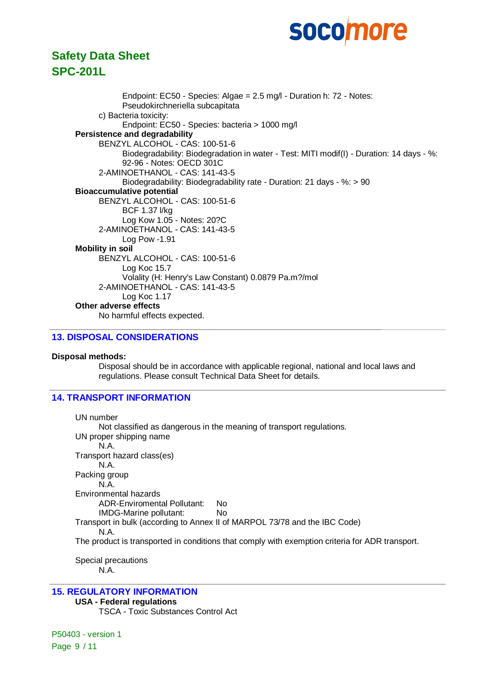### **Safety Data Sheet SPC-201L**

Endpoint: EC50 - Species: Algae = 2.5 mg/l - Duration h: 72 - Notes: Pseudokirchneriella subcapitata c) Bacteria toxicity: Endpoint: EC50 - Species: bacteria > 1000 mg/l **Persistence and degradability** BENZYL ALCOHOL - CAS: 100-51-6 Biodegradability: Biodegradation in water - Test: MITI modif(I) - Duration: 14 days - %: 92-96 - Notes: OECD 301C 2-AMINOETHANOL - CAS: 141-43-5 Biodegradability: Biodegradability rate - Duration: 21 days - %: > 90 **Bioaccumulative potential** BENZYL ALCOHOL - CAS: 100-51-6 BCF 1.37 l/kg Log Kow 1.05 - Notes: 20?C 2-AMINOETHANOL - CAS: 141-43-5 Log Pow -1.91 **Mobility in soil** BENZYL ALCOHOL - CAS: 100-51-6 Log Koc 15.7 Volality (H: Henry's Law Constant) 0.0879 Pa.m?/mol 2-AMINOETHANOL - CAS: 141-43-5 Log Koc 1.17 **Other adverse effects** No harmful effects expected.

#### **13. DISPOSAL CONSIDERATIONS**

#### **Disposal methods:**

Disposal should be in accordance with applicable regional, national and local laws and regulations. Please consult Technical Data Sheet for details.

#### **14. TRANSPORT INFORMATION**

UN number Not classified as dangerous in the meaning of transport regulations. UN proper shipping name N.A. Transport hazard class(es) N.A. Packing group N.A. Environmental hazards ADR-Enviromental Pollutant: No IMDG-Marine pollutant: No Transport in bulk (according to Annex II of MARPOL 73/78 and the IBC Code) N.A. The product is transported in conditions that comply with exemption criteria for ADR transport.

Special precautions N.A.

#### **15. REGULATORY INFORMATION**

#### **USA - Federal regulations**

TSCA - Toxic Substances Control Act

P50403 - version 1 Page 9 / 11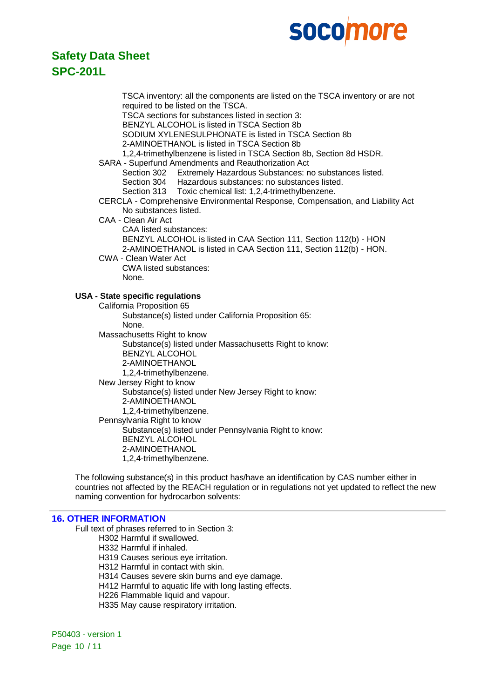

### **Safety Data Sheet SPC-201L**

TSCA inventory: all the components are listed on the TSCA inventory or are not required to be listed on the TSCA. TSCA sections for substances listed in section 3: BENZYL ALCOHOL is listed in TSCA Section 8b SODIUM XYLENESULPHONATE is listed in TSCA Section 8b 2-AMINOETHANOL is listed in TSCA Section 8b 1,2,4-trimethylbenzene is listed in TSCA Section 8b, Section 8d HSDR. SARA - Superfund Amendments and Reauthorization Act Section 302 Extremely Hazardous Substances: no substances listed. Section 304 Hazardous substances: no substances listed. Section 313 Toxic chemical list: 1,2,4-trimethylbenzene. CERCLA - Comprehensive Environmental Response, Compensation, and Liability Act No substances listed. CAA - Clean Air Act CAA listed substances: BENZYL ALCOHOL is listed in CAA Section 111, Section 112(b) - HON 2-AMINOETHANOL is listed in CAA Section 111, Section 112(b) - HON. CWA - Clean Water Act CWA listed substances: None. **USA - State specific regulations** California Proposition 65 Substance(s) listed under California Proposition 65: None. Massachusetts Right to know Substance(s) listed under Massachusetts Right to know: BENZYL ALCOHOL 2-AMINOETHANOL 1,2,4-trimethylbenzene. New Jersey Right to know Substance(s) listed under New Jersey Right to know: 2-AMINOETHANOL 1,2,4-trimethylbenzene. Pennsylvania Right to know Substance(s) listed under Pennsylvania Right to know: BENZYL ALCOHOL 2-AMINOETHANOL 1,2,4-trimethylbenzene.

The following substance(s) in this product has/have an identification by CAS number either in countries not affected by the REACH regulation or in regulations not yet updated to reflect the new naming convention for hydrocarbon solvents:

#### **16. OTHER INFORMATION**

Full text of phrases referred to in Section 3:

H302 Harmful if swallowed.

H332 Harmful if inhaled.

H319 Causes serious eye irritation.

H312 Harmful in contact with skin.

H314 Causes severe skin burns and eye damage.

H412 Harmful to aquatic life with long lasting effects.

H226 Flammable liquid and vapour.

H335 May cause respiratory irritation.

P50403 - version 1 Page 10 / 11